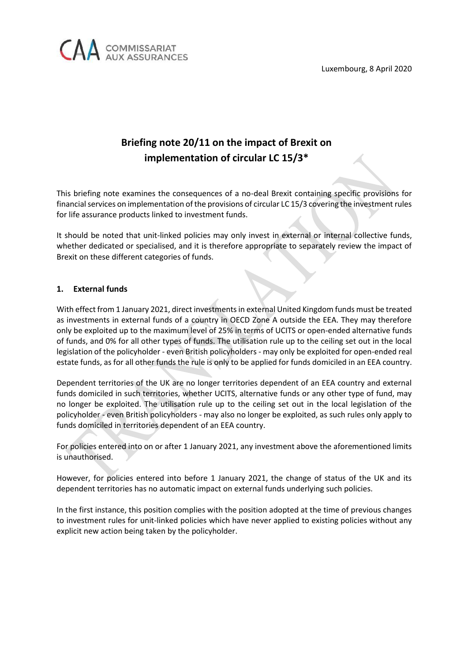

## **Briefing note 20/11 on the impact of Brexit on implementation of circular LC 15/3\***

This briefing note examines the consequences of a no-deal Brexit containing specific provisions for financial services on implementation of the provisions of circular LC 15/3 covering the investment rules for life assurance products linked to investment funds.

It should be noted that unit-linked policies may only invest in external or internal collective funds, whether dedicated or specialised, and it is therefore appropriate to separately review the impact of Brexit on these different categories of funds.

## **1. External funds**

With effect from 1 January 2021, direct investments in external United Kingdom funds must be treated as investments in external funds of a country in OECD Zone A outside the EEA. They may therefore only be exploited up to the maximum level of 25% in terms of UCITS or open-ended alternative funds of funds, and 0% for all other types of funds. The utilisation rule up to the ceiling set out in the local legislation of the policyholder - even British policyholders - may only be exploited for open-ended real estate funds, as for all other funds the rule is only to be applied for funds domiciled in an EEA country.

Dependent territories of the UK are no longer territories dependent of an EEA country and external funds domiciled in such territories, whether UCITS, alternative funds or any other type of fund, may no longer be exploited. The utilisation rule up to the ceiling set out in the local legislation of the policyholder - even British policyholders - may also no longer be exploited, as such rules only apply to funds domiciled in territories dependent of an EEA country.

For policies entered into on or after 1 January 2021, any investment above the aforementioned limits is unauthorised.

However, for policies entered into before 1 January 2021, the change of status of the UK and its dependent territories has no automatic impact on external funds underlying such policies.

In the first instance, this position complies with the position adopted at the time of previous changes to investment rules for unit-linked policies which have never applied to existing policies without any explicit new action being taken by the policyholder.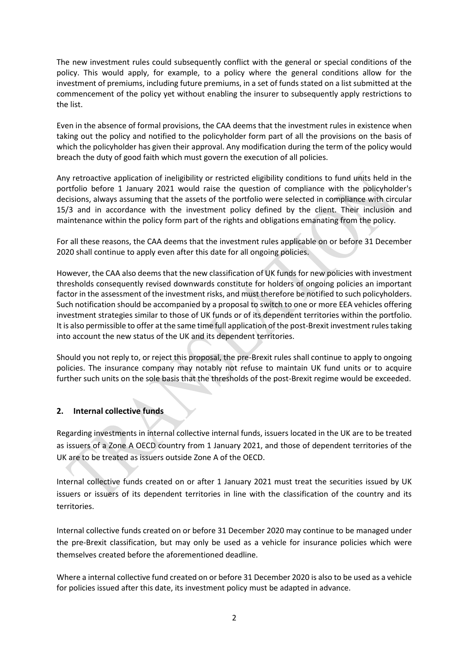The new investment rules could subsequently conflict with the general or special conditions of the policy. This would apply, for example, to a policy where the general conditions allow for the investment of premiums, including future premiums, in a set of funds stated on a list submitted at the commencement of the policy yet without enabling the insurer to subsequently apply restrictions to the list.

Even in the absence of formal provisions, the CAA deems that the investment rules in existence when taking out the policy and notified to the policyholder form part of all the provisions on the basis of which the policyholder has given their approval. Any modification during the term of the policy would breach the duty of good faith which must govern the execution of all policies.

Any retroactive application of ineligibility or restricted eligibility conditions to fund units held in the portfolio before 1 January 2021 would raise the question of compliance with the policyholder's decisions, always assuming that the assets of the portfolio were selected in compliance with circular 15/3 and in accordance with the investment policy defined by the client. Their inclusion and maintenance within the policy form part of the rights and obligations emanating from the policy.

For all these reasons, the CAA deems that the investment rules applicable on or before 31 December 2020 shall continue to apply even after this date for all ongoing policies.

However, the CAA also deems that the new classification of UK funds for new policies with investment thresholds consequently revised downwards constitute for holders of ongoing policies an important factor in the assessment of the investment risks, and must therefore be notified to such policyholders. Such notification should be accompanied by a proposal to switch to one or more EEA vehicles offering investment strategies similar to those of UK funds or of its dependent territories within the portfolio. It is also permissible to offer at the same time full application of the post-Brexit investment rules taking into account the new status of the UK and its dependent territories.

Should you not reply to, or reject this proposal, the pre-Brexit rules shall continue to apply to ongoing policies. The insurance company may notably not refuse to maintain UK fund units or to acquire further such units on the sole basis that the thresholds of the post-Brexit regime would be exceeded.

## **2. Internal collective funds**

Regarding investments in internal collective internal funds, issuers located in the UK are to be treated as issuers of a Zone A OECD country from 1 January 2021, and those of dependent territories of the UK are to be treated as issuers outside Zone A of the OECD.

Internal collective funds created on or after 1 January 2021 must treat the securities issued by UK issuers or issuers of its dependent territories in line with the classification of the country and its territories.

Internal collective funds created on or before 31 December 2020 may continue to be managed under the pre-Brexit classification, but may only be used as a vehicle for insurance policies which were themselves created before the aforementioned deadline.

Where a internal collective fund created on or before 31 December 2020 is also to be used as a vehicle for policies issued after this date, its investment policy must be adapted in advance.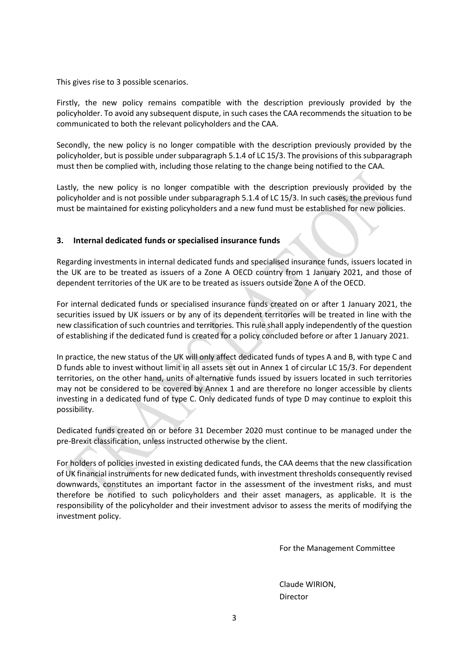This gives rise to 3 possible scenarios.

Firstly, the new policy remains compatible with the description previously provided by the policyholder. To avoid any subsequent dispute, in such cases the CAA recommends the situation to be communicated to both the relevant policyholders and the CAA.

Secondly, the new policy is no longer compatible with the description previously provided by the policyholder, but is possible under subparagraph 5.1.4 of LC 15/3. The provisions of this subparagraph must then be complied with, including those relating to the change being notified to the CAA.

Lastly, the new policy is no longer compatible with the description previously provided by the policyholder and is not possible under subparagraph 5.1.4 of LC 15/3. In such cases, the previous fund must be maintained for existing policyholders and a new fund must be established for new policies.

## **3. Internal dedicated funds or specialised insurance funds**

Regarding investments in internal dedicated funds and specialised insurance funds, issuers located in the UK are to be treated as issuers of a Zone A OECD country from 1 January 2021, and those of dependent territories of the UK are to be treated as issuers outside Zone A of the OECD.

For internal dedicated funds or specialised insurance funds created on or after 1 January 2021, the securities issued by UK issuers or by any of its dependent territories will be treated in line with the new classification of such countries and territories. This rule shall apply independently of the question of establishing if the dedicated fund is created for a policy concluded before or after 1 January 2021.

In practice, the new status of the UK will only affect dedicated funds of types A and B, with type C and D funds able to invest without limit in all assets set out in Annex 1 of circular LC 15/3. For dependent territories, on the other hand, units of alternative funds issued by issuers located in such territories may not be considered to be covered by Annex 1 and are therefore no longer accessible by clients investing in a dedicated fund of type C. Only dedicated funds of type D may continue to exploit this possibility.

Dedicated funds created on or before 31 December 2020 must continue to be managed under the pre-Brexit classification, unless instructed otherwise by the client.

For holders of policies invested in existing dedicated funds, the CAA deems that the new classification of UK financial instruments for new dedicated funds, with investment thresholds consequently revised downwards, constitutes an important factor in the assessment of the investment risks, and must therefore be notified to such policyholders and their asset managers, as applicable. It is the responsibility of the policyholder and their investment advisor to assess the merits of modifying the investment policy.

For the Management Committee

Claude WIRION, Director